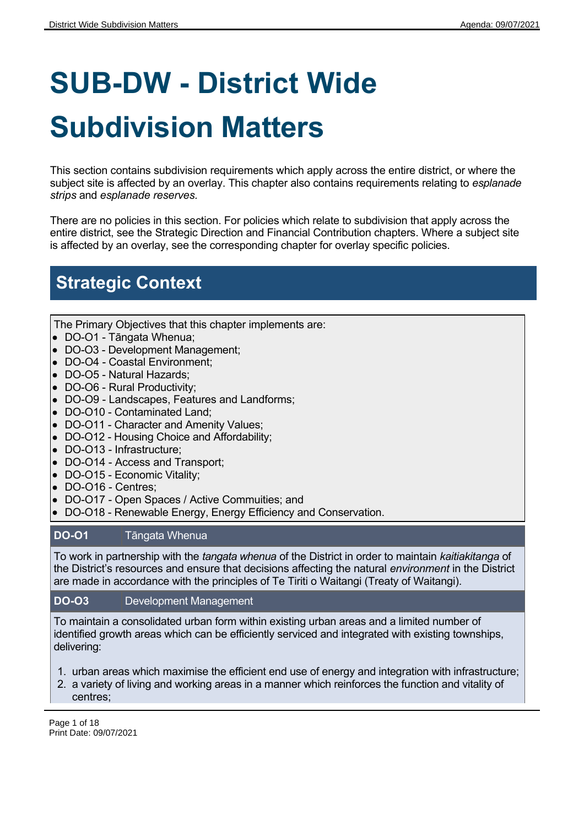# **SUB-DW - District Wide Subdivision Matters**

This section contains subdivision requirements which apply across the entire district, or where the subject site is affected by an overlay. This chapter also contains requirements relating to *esplanade strips* and *esplanade reserves.*

There are no policies in this section. For policies which relate to subdivision that apply across the entire district, see the Strategic Direction and Financial Contribution chapters. Where a subject site is affected by an overlay, see the corresponding chapter for overlay specific policies.

## **Strategic Context**

The Primary Objectives that this chapter implements are:

- DO-O1 Tāngata Whenua;
- DO-O3 Development Management;
- DO-O4 Coastal Environment;
- DO-O5 Natural Hazards;
- DO-O6 Rural Productivity;
- DO-O9 Landscapes, Features and Landforms;
- DO-O10 Contaminated Land;
- DO-O11 Character and Amenity Values;
- DO-O12 Housing Choice and Affordability;
- DO-O13 Infrastructure;
- DO-O14 Access and Transport;
- DO-O15 Economic Vitality;
- DO-O16 Centres;
- DO-O17 Open Spaces / Active Commuities; and
- DO-O18 Renewable Energy, Energy Efficiency and Conservation.

#### **DO-O1** Tāngata Whenua

To work in partnership with the *tangata whenua* of the District in order to maintain *kaitiakitanga* of the District's resources and ensure that decisions affecting the natural *environment* in the District are made in accordance with the principles of Te Tiriti o Waitangi (Treaty of Waitangi).

#### **DO-O3** Development Management

To maintain a consolidated urban form within existing urban areas and a limited number of identified growth areas which can be efficiently serviced and integrated with existing townships, delivering:

- 1. urban areas which maximise the efficient end use of energy and integration with infrastructure;
- 2. a variety of living and working areas in a manner which reinforces the function and vitality of centres;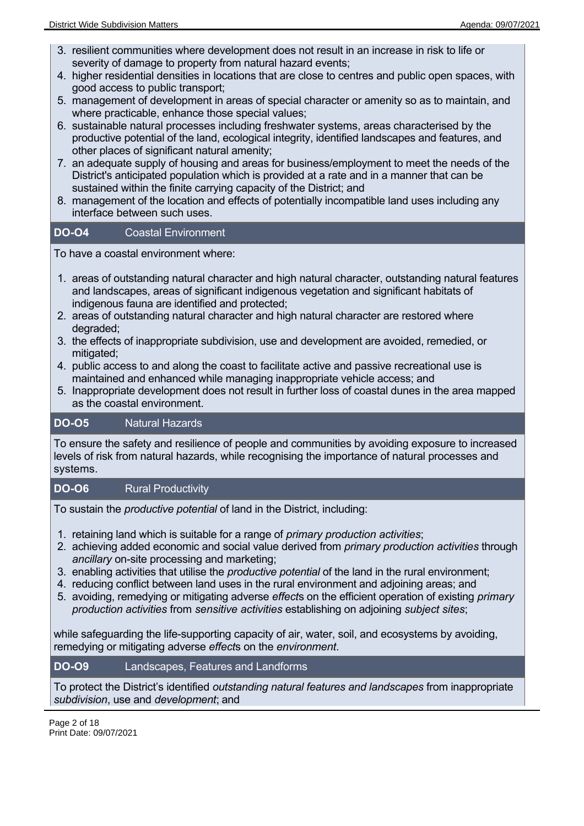- 3. resilient communities where development does not result in an increase in risk to life or severity of damage to property from natural hazard events;
- 4. higher residential densities in locations that are close to centres and public open spaces, with good access to public transport;
- 5. management of development in areas of special character or amenity so as to maintain, and where practicable, enhance those special values;
- 6. sustainable natural processes including freshwater systems, areas characterised by the productive potential of the land, ecological integrity, identified landscapes and features, and other places of significant natural amenity;
- 7. an adequate supply of housing and areas for business/employment to meet the needs of the District's anticipated population which is provided at a rate and in a manner that can be sustained within the finite carrying capacity of the District; and
- 8. management of the location and effects of potentially incompatible land uses including any interface between such uses.

#### **DO-O4** Coastal Environment

To have a coastal environment where:

- 1. areas of outstanding natural character and high natural character, outstanding natural features and landscapes, areas of significant indigenous vegetation and significant habitats of indigenous fauna are identified and protected;
- 2. areas of outstanding natural character and high natural character are restored where degraded;
- 3. the effects of inappropriate subdivision, use and development are avoided, remedied, or mitigated;
- 4. public access to and along the coast to facilitate active and passive recreational use is maintained and enhanced while managing inappropriate vehicle access; and
- 5. Inappropriate development does not result in further loss of coastal dunes in the area mapped as the coastal environment.

#### **DO-O5** Natural Hazards

To ensure the safety and resilience of people and communities by avoiding exposure to increased levels of risk from natural hazards, while recognising the importance of natural processes and systems.

#### **DO-O6** Rural Productivity

To sustain the *productive potential* of land in the District, including:

- 1. retaining land which is suitable for a range of *primary production activities*;
- 2. achieving added economic and social value derived from *primary production activities* through *ancillary* on-site processing and marketing;
- 3. enabling activities that utilise the *productive potential* of the land in the rural environment;
- 4. reducing conflict between land uses in the rural environment and adjoining areas; and
- 5. avoiding, remedying or mitigating adverse *effect*s on the efficient operation of existing *primary production activities* from *sensitive activities* establishing on adjoining *subject sites*;

while safeguarding the life-supporting capacity of air, water, soil, and ecosystems by avoiding, remedying or mitigating adverse *effect*s on the *environment*.

#### **DO-O9** Landscapes, Features and Landforms

To protect the District's identified *outstanding natural features and landscapes* from inappropriate *subdivision*, use and *development*; and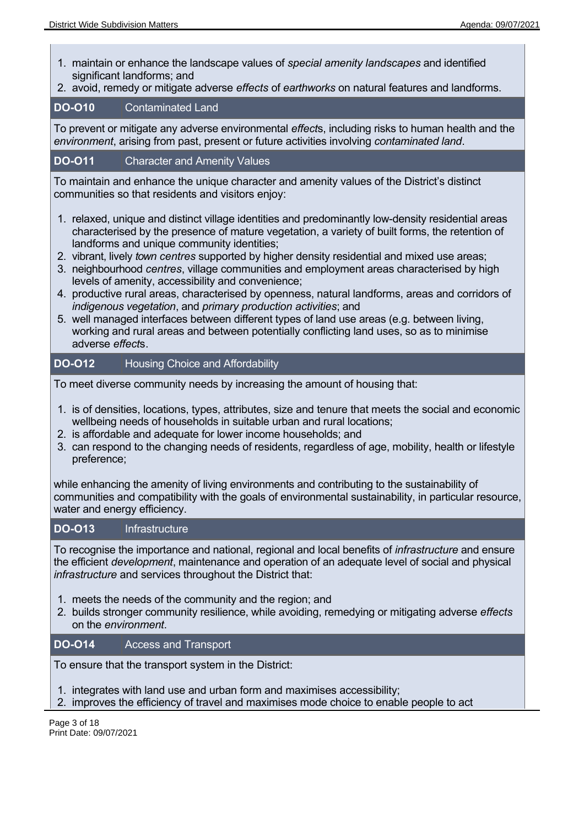- 1. maintain or enhance the landscape values of *special amenity landscapes* and identified significant landforms; and
- 2. avoid, remedy or mitigate adverse *effects* of *earthworks* on natural features and landforms.

#### **DO-O10** Contaminated Land

To prevent or mitigate any adverse environmental *effect*s, including risks to human health and the *environment*, arising from past, present or future activities involving *contaminated land*.

#### **DO-O11** Character and Amenity Values

To maintain and enhance the unique character and amenity values of the District's distinct communities so that residents and visitors enjoy:

- 1. relaxed, unique and distinct village identities and predominantly low-density residential areas characterised by the presence of mature vegetation, a variety of built forms, the retention of landforms and unique community identities;
- 2. vibrant, lively *town centres* supported by higher density residential and mixed use areas;
- 3. neighbourhood *centres*, village communities and employment areas characterised by high levels of amenity, accessibility and convenience;
- 4. productive rural areas, characterised by openness, natural landforms, areas and corridors of *indigenous vegetation*, and *primary production activities*; and
- 5. well managed interfaces between different types of land use areas (e.g. between living, working and rural areas and between potentially conflicting land uses, so as to minimise adverse *effect*s.

#### **DO-O12** Housing Choice and Affordability

To meet diverse community needs by increasing the amount of housing that:

- 1. is of densities, locations, types, attributes, size and tenure that meets the social and economic wellbeing needs of households in suitable urban and rural locations;
- 2. is affordable and adequate for lower income households; and
- 3. can respond to the changing needs of residents, regardless of age, mobility, health or lifestyle preference;

while enhancing the amenity of living environments and contributing to the sustainability of communities and compatibility with the goals of environmental sustainability, in particular resource, water and energy efficiency.

#### **DO-O13** Infrastructure

To recognise the importance and national, regional and local benefits of *infrastructure* and ensure the efficient *development*, maintenance and operation of an adequate level of social and physical *infrastructure* and services throughout the District that:

- 1. meets the needs of the community and the region; and
- 2. builds stronger community resilience, while avoiding, remedying or mitigating adverse *effects* on the *environment*.

#### **DO-O14** Access and Transport

To ensure that the transport system in the District:

1. integrates with land use and urban form and maximises accessibility;

2. improves the efficiency of travel and maximises mode choice to enable people to act

Page 3 of 18 Print Date: 09/07/2021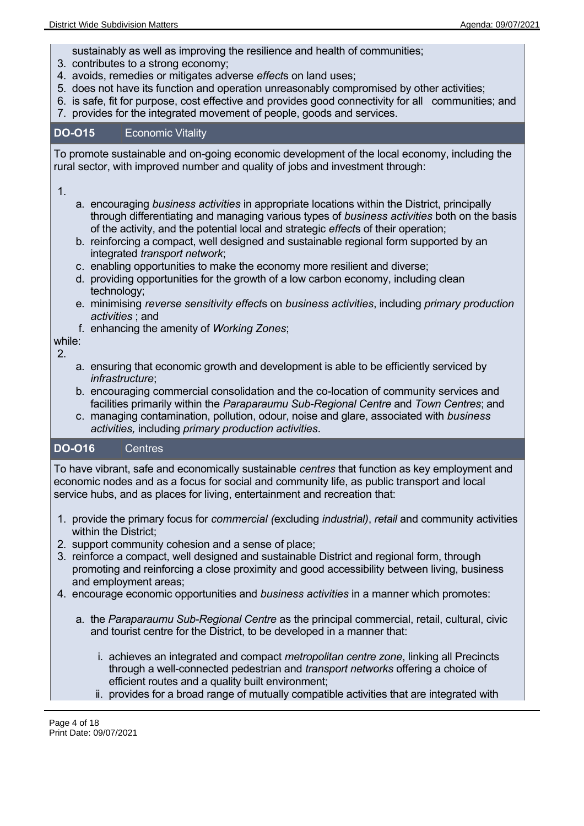sustainably as well as improving the resilience and health of communities;

- 3. contributes to a strong economy;
- 4. avoids, remedies or mitigates adverse *effect*s on land uses;
- 5. does not have its function and operation unreasonably compromised by other activities;
- 6. is safe, fit for purpose, cost effective and provides good connectivity for all communities; and
- 7. provides for the integrated movement of people, goods and services.

#### **DO-O15** Economic Vitality

To promote sustainable and on-going economic development of the local economy, including the rural sector, with improved number and quality of jobs and investment through:

#### 1.

- a. encouraging *business activities* in appropriate locations within the District, principally through differentiating and managing various types of *business activities* both on the basis of the activity, and the potential local and strategic *effect*s of their operation;
- b. reinforcing a compact, well designed and sustainable regional form supported by an integrated *transport network*;
- c. enabling opportunities to make the economy more resilient and diverse;
- d. providing opportunities for the growth of a low carbon economy, including clean technology;
- e. minimising *reverse sensitivity effect*s on *business activities*, including *primary production activities* ; and
- f. enhancing the amenity of *Working Zones*;

#### while:

2.

- a. ensuring that economic growth and development is able to be efficiently serviced by *infrastructure*;
- b. encouraging commercial consolidation and the co-location of community services and facilities primarily within the *Paraparaumu Sub-Regional Centre* and *Town Centres*; and
- c. managing contamination, pollution, odour, noise and glare, associated with *business activities,* including *primary production activities*.

#### **DO-O16** Centres

To have vibrant, safe and economically sustainable *centres* that function as key employment and economic nodes and as a focus for social and community life, as public transport and local service hubs, and as places for living, entertainment and recreation that:

- 1. provide the primary focus for *commercial (*excluding *industrial)*, *retail* and community activities within the District;
- 2. support community cohesion and a sense of place;
- 3. reinforce a compact, well designed and sustainable District and regional form, through promoting and reinforcing a close proximity and good accessibility between living, business and employment areas;
- 4. encourage economic opportunities and *business activities* in a manner which promotes:
	- a. the *Paraparaumu Sub-Regional Centre* as the principal commercial, retail, cultural, civic and tourist centre for the District, to be developed in a manner that:
		- i. achieves an integrated and compact *metropolitan centre zone*, linking all Precincts through a well-connected pedestrian and *transport networks* offering a choice of efficient routes and a quality built environment;
		- ii. provides for a broad range of mutually compatible activities that are integrated with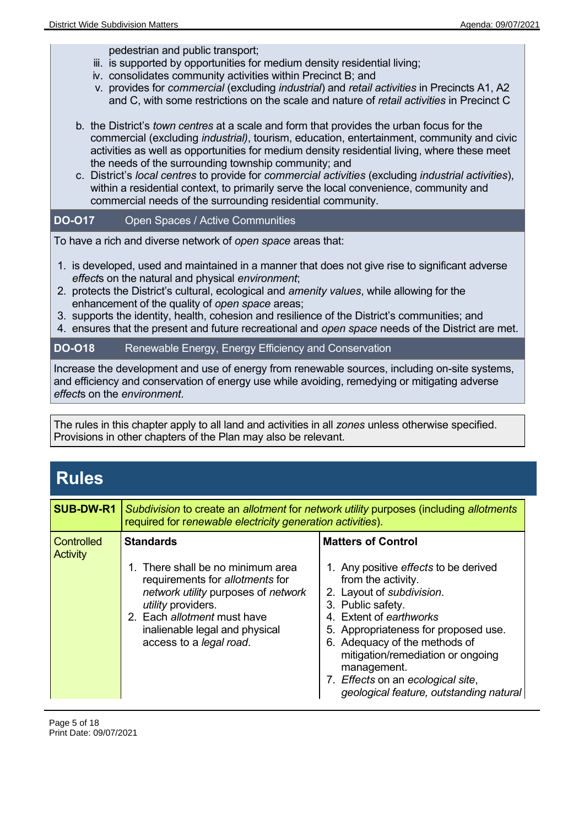pedestrian and public transport;

- iii. is supported by opportunities for medium density residential living;
- iv. consolidates community activities within Precinct B; and
- v. provides for *commercial* (excluding *industrial*) and *retail activities* in Precincts A1, A2 and C, with some restrictions on the scale and nature of *retail activities* in Precinct C
- b. the District's *town centres* at a scale and form that provides the urban focus for the commercial (excluding *industrial)*, tourism, education, entertainment, community and civic activities as well as opportunities for medium density residential living, where these meet the needs of the surrounding township community; and
- c. District's *local centres* to provide for *commercial activities* (excluding *industrial activities*), within a residential context, to primarily serve the local convenience, community and commercial needs of the surrounding residential community.

#### **DO-O17** Open Spaces / Active Communities

To have a rich and diverse network of *open space* areas that:

- 1. is developed, used and maintained in a manner that does not give rise to significant adverse *effect*s on the natural and physical *environment*;
- 2. protects the District's cultural, ecological and *amenity values*, while allowing for the enhancement of the quality of *open space* areas;
- 3. supports the identity, health, cohesion and resilience of the District's communities; and
- 4. ensures that the present and future recreational and *open space* needs of the District are met.

#### **DO-O18** Renewable Energy, Energy Efficiency and Conservation

Increase the development and use of energy from renewable sources, including on-site systems, and efficiency and conservation of energy use while avoiding, remedying or mitigating adverse *effect*s on the *environment*.

The rules in this chapter apply to all land and activities in all *zones* unless otherwise specified. Provisions in other chapters of the Plan may also be relevant.

| <b>Rules</b>                         |                                                                                                                                                                                                                                                   |                                                                                                                                                                                                                                                                                                                                                                                    |
|--------------------------------------|---------------------------------------------------------------------------------------------------------------------------------------------------------------------------------------------------------------------------------------------------|------------------------------------------------------------------------------------------------------------------------------------------------------------------------------------------------------------------------------------------------------------------------------------------------------------------------------------------------------------------------------------|
| <b>SUB-DW-R1</b>                     | required for renewable electricity generation activities).                                                                                                                                                                                        | Subdivision to create an allotment for network utility purposes (including allotments                                                                                                                                                                                                                                                                                              |
| <b>Controlled</b><br><b>Activity</b> | <b>Standards</b><br>1. There shall be no minimum area<br>requirements for allotments for<br>network utility purposes of network<br>utility providers.<br>2. Each allotment must have<br>inalienable legal and physical<br>access to a legal road. | <b>Matters of Control</b><br>1. Any positive effects to be derived<br>from the activity.<br>2. Layout of subdivision.<br>3. Public safety.<br>4. Extent of earthworks<br>5. Appropriateness for proposed use.<br>6. Adequacy of the methods of<br>mitigation/remediation or ongoing<br>management.<br>7. Effects on an ecological site,<br>geological feature, outstanding natural |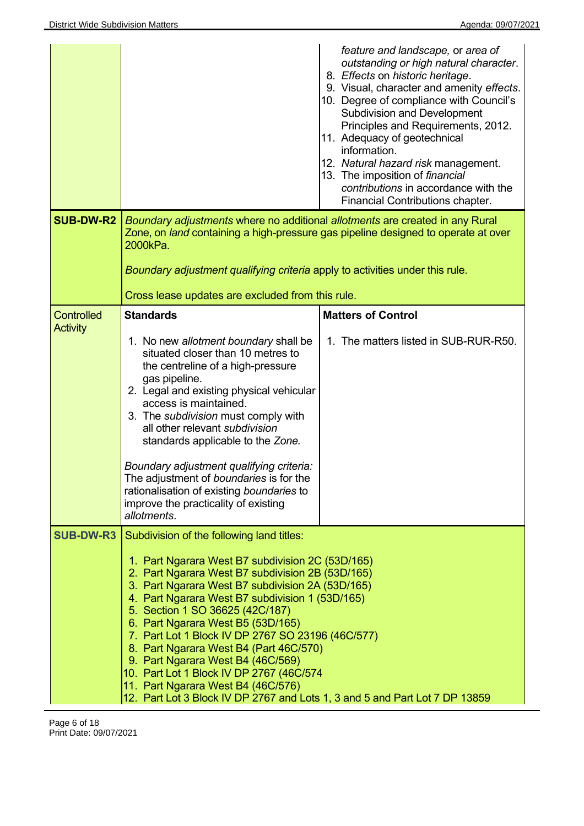|                                      |                                                                                                                                                                                                                                                                                                                                                                                                                                                                                                                                                                                                                                       | feature and landscape, or area of<br>outstanding or high natural character.<br>8. Effects on historic heritage.<br>9. Visual, character and amenity effects.<br>10. Degree of compliance with Council's<br><b>Subdivision and Development</b><br>Principles and Requirements, 2012.<br>11. Adequacy of geotechnical<br>information.<br>12. Natural hazard risk management.<br>13. The imposition of financial<br>contributions in accordance with the<br>Financial Contributions chapter. |
|--------------------------------------|---------------------------------------------------------------------------------------------------------------------------------------------------------------------------------------------------------------------------------------------------------------------------------------------------------------------------------------------------------------------------------------------------------------------------------------------------------------------------------------------------------------------------------------------------------------------------------------------------------------------------------------|-------------------------------------------------------------------------------------------------------------------------------------------------------------------------------------------------------------------------------------------------------------------------------------------------------------------------------------------------------------------------------------------------------------------------------------------------------------------------------------------|
| <b>SUB-DW-R2</b>                     | Boundary adjustments where no additional allotments are created in any Rural<br>Zone, on land containing a high-pressure gas pipeline designed to operate at over<br>2000kPa.<br>Boundary adjustment qualifying criteria apply to activities under this rule.<br>Cross lease updates are excluded from this rule.                                                                                                                                                                                                                                                                                                                     |                                                                                                                                                                                                                                                                                                                                                                                                                                                                                           |
| <b>Controlled</b><br><b>Activity</b> | <b>Standards</b><br>1. No new allotment boundary shall be<br>situated closer than 10 metres to<br>the centreline of a high-pressure<br>gas pipeline.<br>2. Legal and existing physical vehicular<br>access is maintained.<br>3. The subdivision must comply with<br>all other relevant subdivision<br>standards applicable to the Zone.<br>Boundary adjustment qualifying criteria:<br>The adjustment of boundaries is for the<br>rationalisation of existing boundaries to<br>improve the practicality of existing<br>allotments.                                                                                                    | <b>Matters of Control</b><br>1. The matters listed in SUB-RUR-R50.                                                                                                                                                                                                                                                                                                                                                                                                                        |
| <b>SUB-DW-R3</b>                     | Subdivision of the following land titles:<br>1. Part Ngarara West B7 subdivision 2C (53D/165)<br>2. Part Ngarara West B7 subdivision 2B (53D/165)<br>3. Part Ngarara West B7 subdivision 2A (53D/165)<br>4. Part Ngarara West B7 subdivision 1 (53D/165)<br>5. Section 1 SO 36625 (42C/187)<br>6. Part Ngarara West B5 (53D/165)<br>7. Part Lot 1 Block IV DP 2767 SO 23196 (46C/577)<br>8. Part Ngarara West B4 (Part 46C/570)<br>9. Part Ngarara West B4 (46C/569)<br>10. Part Lot 1 Block IV DP 2767 (46C/574<br>11. Part Ngarara West B4 (46C/576)<br>12. Part Lot 3 Block IV DP 2767 and Lots 1, 3 and 5 and Part Lot 7 DP 13859 |                                                                                                                                                                                                                                                                                                                                                                                                                                                                                           |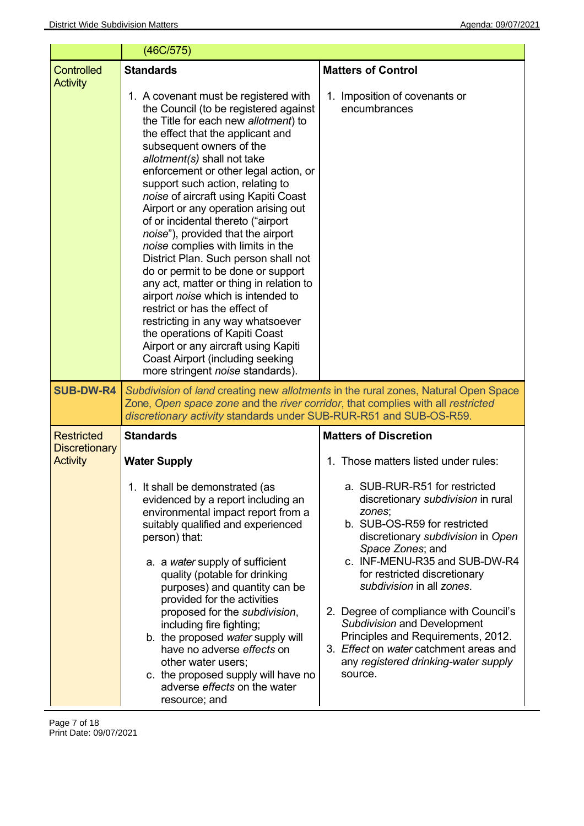|                                         | (46C/575)                                                                                                                                                                                                                                                                                                                                                                                                                                                                                                                                                                                                                                                                                                                                                                                                                                                                                          |                                                                                                                                                                                                                                                                                                                                                                                                                                                                                  |
|-----------------------------------------|----------------------------------------------------------------------------------------------------------------------------------------------------------------------------------------------------------------------------------------------------------------------------------------------------------------------------------------------------------------------------------------------------------------------------------------------------------------------------------------------------------------------------------------------------------------------------------------------------------------------------------------------------------------------------------------------------------------------------------------------------------------------------------------------------------------------------------------------------------------------------------------------------|----------------------------------------------------------------------------------------------------------------------------------------------------------------------------------------------------------------------------------------------------------------------------------------------------------------------------------------------------------------------------------------------------------------------------------------------------------------------------------|
| <b>Controlled</b><br><b>Activity</b>    | <b>Standards</b>                                                                                                                                                                                                                                                                                                                                                                                                                                                                                                                                                                                                                                                                                                                                                                                                                                                                                   | <b>Matters of Control</b>                                                                                                                                                                                                                                                                                                                                                                                                                                                        |
|                                         | 1. A covenant must be registered with<br>the Council (to be registered against<br>the Title for each new allotment) to<br>the effect that the applicant and<br>subsequent owners of the<br>allotment(s) shall not take<br>enforcement or other legal action, or<br>support such action, relating to<br>noise of aircraft using Kapiti Coast<br>Airport or any operation arising out<br>of or incidental thereto ("airport<br>noise"), provided that the airport<br>noise complies with limits in the<br>District Plan. Such person shall not<br>do or permit to be done or support<br>any act, matter or thing in relation to<br>airport noise which is intended to<br>restrict or has the effect of<br>restricting in any way whatsoever<br>the operations of Kapiti Coast<br>Airport or any aircraft using Kapiti<br><b>Coast Airport (including seeking</b><br>more stringent noise standards). | 1. Imposition of covenants or<br>encumbrances                                                                                                                                                                                                                                                                                                                                                                                                                                    |
| <b>SUB-DW-R4</b>                        | Zone, Open space zone and the river corridor, that complies with all restricted<br>discretionary activity standards under SUB-RUR-R51 and SUB-OS-R59.                                                                                                                                                                                                                                                                                                                                                                                                                                                                                                                                                                                                                                                                                                                                              | Subdivision of land creating new allotments in the rural zones, Natural Open Space                                                                                                                                                                                                                                                                                                                                                                                               |
| <b>Restricted</b>                       | <b>Standards</b>                                                                                                                                                                                                                                                                                                                                                                                                                                                                                                                                                                                                                                                                                                                                                                                                                                                                                   | <b>Matters of Discretion</b>                                                                                                                                                                                                                                                                                                                                                                                                                                                     |
| <b>Discretionary</b><br><b>Activity</b> | <b>Water Supply</b>                                                                                                                                                                                                                                                                                                                                                                                                                                                                                                                                                                                                                                                                                                                                                                                                                                                                                | 1. Those matters listed under rules:                                                                                                                                                                                                                                                                                                                                                                                                                                             |
|                                         | 1. It shall be demonstrated (as<br>evidenced by a report including an<br>environmental impact report from a<br>suitably qualified and experienced<br>person) that:<br>a. a water supply of sufficient<br>quality (potable for drinking<br>purposes) and quantity can be<br>provided for the activities<br>proposed for the subdivision,<br>including fire fighting;<br>b. the proposed water supply will<br>have no adverse effects on<br>other water users;<br>c. the proposed supply will have no<br>adverse effects on the water<br>resource; and                                                                                                                                                                                                                                                                                                                                               | a. SUB-RUR-R51 for restricted<br>discretionary subdivision in rural<br>zones;<br>b. SUB-OS-R59 for restricted<br>discretionary subdivision in Open<br>Space Zones; and<br>c. INF-MENU-R35 and SUB-DW-R4<br>for restricted discretionary<br>subdivision in all zones.<br>2. Degree of compliance with Council's<br>Subdivision and Development<br>Principles and Requirements, 2012.<br>3. Effect on water catchment areas and<br>any registered drinking-water supply<br>source. |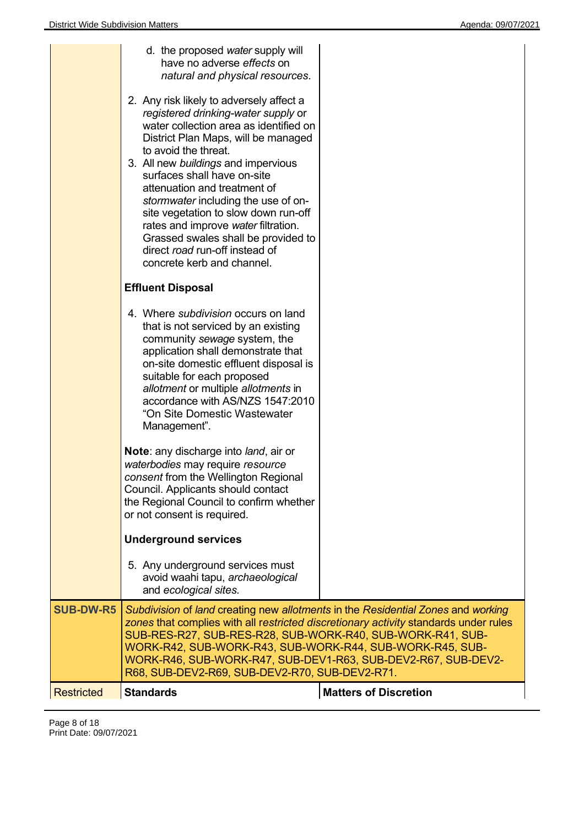|                   | d. the proposed water supply will<br>have no adverse effects on<br>natural and physical resources.<br>2. Any risk likely to adversely affect a<br>registered drinking-water supply or<br>water collection area as identified on<br>District Plan Maps, will be managed<br>to avoid the threat.<br>3. All new buildings and impervious<br>surfaces shall have on-site<br>attenuation and treatment of<br>stormwater including the use of on-<br>site vegetation to slow down run-off<br>rates and improve water filtration.<br>Grassed swales shall be provided to<br>direct road run-off instead of<br>concrete kerb and channel. |                              |
|-------------------|-----------------------------------------------------------------------------------------------------------------------------------------------------------------------------------------------------------------------------------------------------------------------------------------------------------------------------------------------------------------------------------------------------------------------------------------------------------------------------------------------------------------------------------------------------------------------------------------------------------------------------------|------------------------------|
|                   | <b>Effluent Disposal</b>                                                                                                                                                                                                                                                                                                                                                                                                                                                                                                                                                                                                          |                              |
|                   | 4. Where subdivision occurs on land<br>that is not serviced by an existing<br>community sewage system, the<br>application shall demonstrate that<br>on-site domestic effluent disposal is<br>suitable for each proposed<br>allotment or multiple allotments in<br>accordance with AS/NZS 1547:2010<br>"On Site Domestic Wastewater<br>Management".                                                                                                                                                                                                                                                                                |                              |
|                   | Note: any discharge into land, air or<br>waterbodies may require resource<br>consent from the Wellington Regional<br>Council. Applicants should contact<br>the Regional Council to confirm whether<br>or not consent is required.                                                                                                                                                                                                                                                                                                                                                                                                 |                              |
|                   | <b>Underground services</b>                                                                                                                                                                                                                                                                                                                                                                                                                                                                                                                                                                                                       |                              |
|                   | 5. Any underground services must<br>avoid waahi tapu, archaeological<br>and ecological sites.                                                                                                                                                                                                                                                                                                                                                                                                                                                                                                                                     |                              |
| <b>SUB-DW-R5</b>  | Subdivision of land creating new allotments in the Residential Zones and working<br>zones that complies with all restricted discretionary activity standards under rules<br>SUB-RES-R27, SUB-RES-R28, SUB-WORK-R40, SUB-WORK-R41, SUB-<br>WORK-R42, SUB-WORK-R43, SUB-WORK-R44, SUB-WORK-R45, SUB-<br>WORK-R46, SUB-WORK-R47, SUB-DEV1-R63, SUB-DEV2-R67, SUB-DEV2-<br>R68, SUB-DEV2-R69, SUB-DEV2-R70, SUB-DEV2-R71.                                                                                                                                                                                                             |                              |
| <b>Restricted</b> | <b>Standards</b>                                                                                                                                                                                                                                                                                                                                                                                                                                                                                                                                                                                                                  | <b>Matters of Discretion</b> |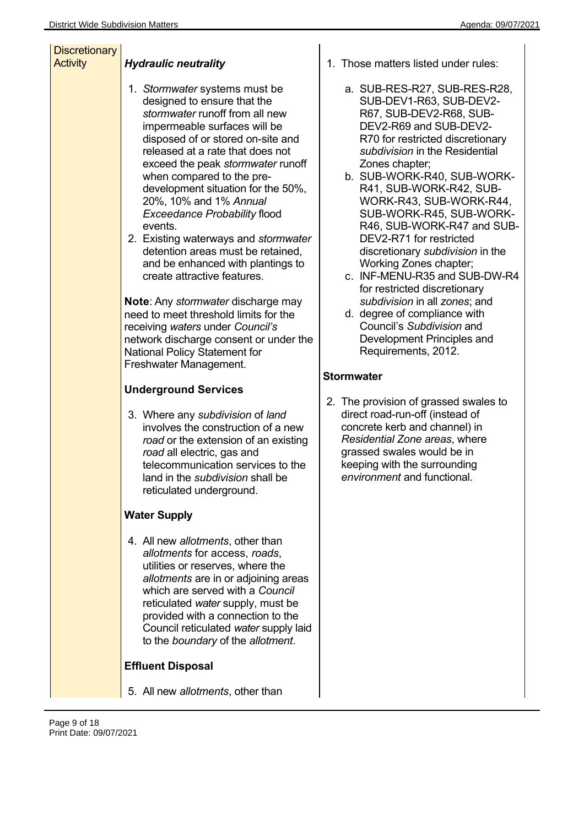| <b>Discretionary</b><br><b>Activity</b> | <b>Hydraulic neutrality</b>                                                                                                                                                                                                                                                                                                                                                                                                                                                                                                                  | 1. Those m                                                                                                                                                              |
|-----------------------------------------|----------------------------------------------------------------------------------------------------------------------------------------------------------------------------------------------------------------------------------------------------------------------------------------------------------------------------------------------------------------------------------------------------------------------------------------------------------------------------------------------------------------------------------------------|-------------------------------------------------------------------------------------------------------------------------------------------------------------------------|
|                                         | 1. Stormwater systems must be<br>designed to ensure that the<br>stormwater runoff from all new<br>impermeable surfaces will be<br>disposed of or stored on-site and<br>released at a rate that does not<br>exceed the peak stormwater runoff<br>when compared to the pre-<br>development situation for the 50%,<br>20%, 10% and 1% Annual<br><b>Exceedance Probability flood</b><br>events.<br>2. Existing waterways and stormwater<br>detention areas must be retained,<br>and be enhanced with plantings to<br>create attractive features. | a. SUB<br><b>SUB</b><br>R67,<br><b>DEV</b><br><b>R70</b><br>subc<br>Zone<br>b. SUB<br>R41<br><b>WOI</b><br><b>SUB</b><br>R46,<br><b>DEV</b><br>discr<br>Worl<br>c. INF- |
|                                         | <b>Note:</b> Any <i>stormwater</i> discharge may<br>need to meet threshold limits for the<br>receiving waters under Council's<br>network discharge consent or under the<br><b>National Policy Statement for</b><br>Freshwater Management.                                                                                                                                                                                                                                                                                                    | for re<br>subc<br>d. degr<br>Cou<br><b>Deve</b><br>Req                                                                                                                  |
|                                         | <b>Underground Services</b>                                                                                                                                                                                                                                                                                                                                                                                                                                                                                                                  | <b>Stormwater</b>                                                                                                                                                       |
|                                         | 3. Where any subdivision of land<br>involves the construction of a new<br>road or the extension of an existing<br>road all electric, gas and<br>telecommunication services to the<br>land in the subdivision shall be<br>reticulated underground.                                                                                                                                                                                                                                                                                            | 2. The prov<br>direct roa<br>concrete<br><b>Residen</b><br>grassed<br>keeping<br>environn                                                                               |
|                                         | <b>Water Supply</b>                                                                                                                                                                                                                                                                                                                                                                                                                                                                                                                          |                                                                                                                                                                         |
|                                         | 4. All new allotments, other than<br>allotments for access, roads,<br>utilities or reserves, where the<br>allotments are in or adjoining areas<br>which are served with a Council<br>reticulated water supply, must be<br>provided with a connection to the<br>Council reticulated water supply laid<br>to the boundary of the allotment.                                                                                                                                                                                                    |                                                                                                                                                                         |
|                                         | <b>Effluent Disposal</b>                                                                                                                                                                                                                                                                                                                                                                                                                                                                                                                     |                                                                                                                                                                         |
|                                         | 5. All new allotments, other than                                                                                                                                                                                                                                                                                                                                                                                                                                                                                                            |                                                                                                                                                                         |

- -RES-R27, SUB-RES-R28, -DEV1-R63, SUB-DEV2-SUB-DEV2-R68, SUB-2-R69 and SUB-DEV2for restricted discretionary *subdivision* in the Residential es chapter;
- -WORK-R40, SUB-WORK-SUB-WORK-R42, SUB-RK-R43, SUB-WORK-R44, -WORK-R45, SUB-WORK-SUB-WORK-R47 and SUB-2-R71 for restricted retionary *subdivision* in the king Zones chapter;
- MENU-R35 and SUB-DW-R4 estricted discretionary *subdivision* in all *zones*; and
- ee of compliance with ncil's *Subdivision* and elopment Principles and uirements, 2012.

### **Stormwater**

vision of grassed swales to ad-run-off (instead of e kerb and channel) in *Residential Zone areas*, where swales would be in with the surrounding *environment* and functional.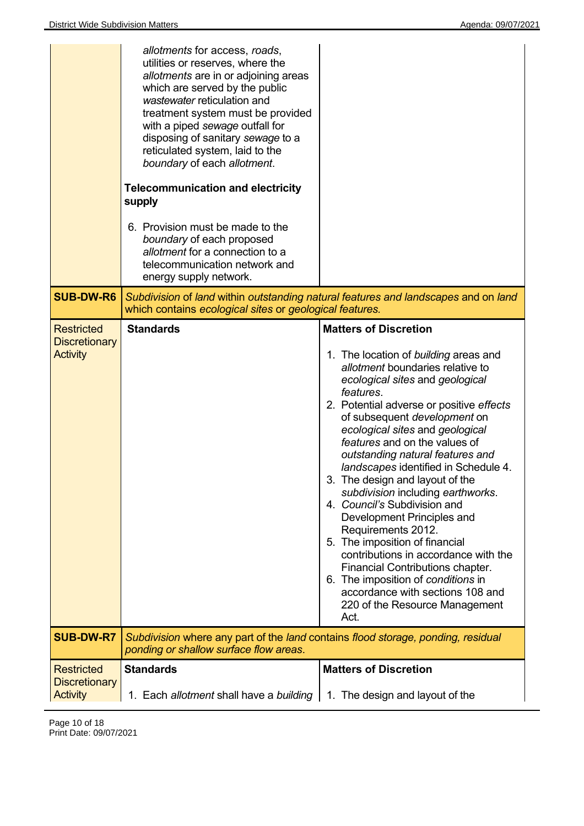| allotments for access, roads,<br>utilities or reserves, where the<br>allotments are in or adjoining areas<br>which are served by the public<br>wastewater reticulation and<br>treatment system must be provided<br>with a piped sewage outfall for<br>disposing of sanitary sewage to a<br>reticulated system, laid to the<br>boundary of each allotment.<br><b>Telecommunication and electricity</b><br>supply<br>6. Provision must be made to the<br>boundary of each proposed<br>allotment for a connection to a<br>telecommunication network and<br>energy supply network. |                                                                                                                                                                                                                                                                                                                                                                                                                                                                                                                                                                                                                                                                                                                                                                                     |
|--------------------------------------------------------------------------------------------------------------------------------------------------------------------------------------------------------------------------------------------------------------------------------------------------------------------------------------------------------------------------------------------------------------------------------------------------------------------------------------------------------------------------------------------------------------------------------|-------------------------------------------------------------------------------------------------------------------------------------------------------------------------------------------------------------------------------------------------------------------------------------------------------------------------------------------------------------------------------------------------------------------------------------------------------------------------------------------------------------------------------------------------------------------------------------------------------------------------------------------------------------------------------------------------------------------------------------------------------------------------------------|
| which contains ecological sites or geological features.                                                                                                                                                                                                                                                                                                                                                                                                                                                                                                                        | Subdivision of land within outstanding natural features and landscapes and on land                                                                                                                                                                                                                                                                                                                                                                                                                                                                                                                                                                                                                                                                                                  |
| <b>Standards</b>                                                                                                                                                                                                                                                                                                                                                                                                                                                                                                                                                               | <b>Matters of Discretion</b><br>1. The location of building areas and<br>allotment boundaries relative to<br>ecological sites and geological<br>features.<br>2. Potential adverse or positive effects<br>of subsequent development on<br>ecological sites and geological<br>features and on the values of<br>outstanding natural features and<br>landscapes identified in Schedule 4.<br>3. The design and layout of the<br>subdivision including earthworks.<br>4. Council's Subdivision and<br>Development Principles and<br>Requirements 2012.<br>5. The imposition of financial<br>contributions in accordance with the<br>Financial Contributions chapter.<br>6. The imposition of conditions in<br>accordance with sections 108 and<br>220 of the Resource Management<br>Act. |
| Subdivision where any part of the land contains flood storage, ponding, residual<br>ponding or shallow surface flow areas.                                                                                                                                                                                                                                                                                                                                                                                                                                                     |                                                                                                                                                                                                                                                                                                                                                                                                                                                                                                                                                                                                                                                                                                                                                                                     |
| <b>Standards</b>                                                                                                                                                                                                                                                                                                                                                                                                                                                                                                                                                               | <b>Matters of Discretion</b>                                                                                                                                                                                                                                                                                                                                                                                                                                                                                                                                                                                                                                                                                                                                                        |
|                                                                                                                                                                                                                                                                                                                                                                                                                                                                                                                                                                                |                                                                                                                                                                                                                                                                                                                                                                                                                                                                                                                                                                                                                                                                                                                                                                                     |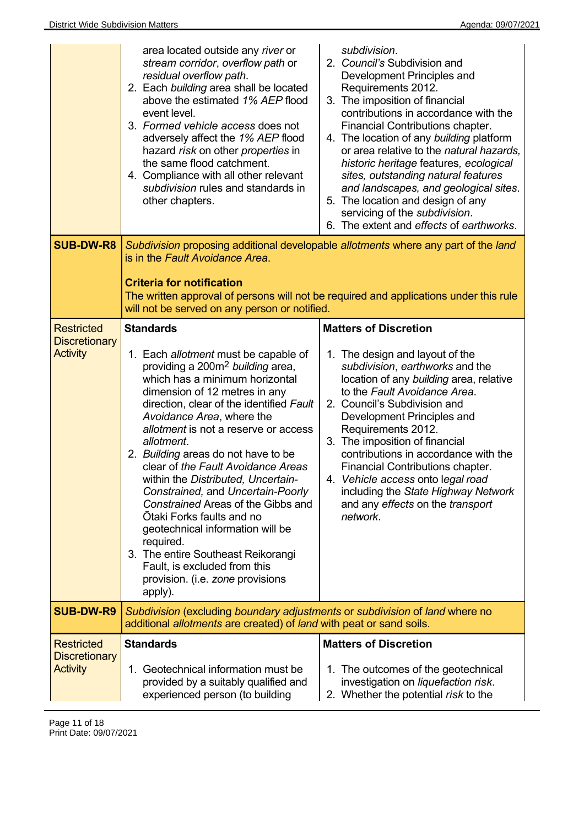|                                                              | area located outside any river or<br>stream corridor, overflow path or<br>residual overflow path.<br>2. Each building area shall be located<br>above the estimated 1% AEP flood<br>event level.<br>3. Formed vehicle access does not<br>adversely affect the 1% AEP flood<br>hazard risk on other properties in<br>the same flood catchment.<br>4. Compliance with all other relevant<br>subdivision rules and standards in<br>other chapters.                                                                                                                                                                                                                                                              | subdivision.<br>2. Council's Subdivision and<br>Development Principles and<br>Requirements 2012.<br>3. The imposition of financial<br>contributions in accordance with the<br>Financial Contributions chapter.<br>4. The location of any building platform<br>or area relative to the natural hazards,<br>historic heritage features, ecological<br>sites, outstanding natural features<br>and landscapes, and geological sites.<br>5. The location and design of any<br>servicing of the subdivision.<br>6. The extent and effects of earthworks. |
|--------------------------------------------------------------|-------------------------------------------------------------------------------------------------------------------------------------------------------------------------------------------------------------------------------------------------------------------------------------------------------------------------------------------------------------------------------------------------------------------------------------------------------------------------------------------------------------------------------------------------------------------------------------------------------------------------------------------------------------------------------------------------------------|----------------------------------------------------------------------------------------------------------------------------------------------------------------------------------------------------------------------------------------------------------------------------------------------------------------------------------------------------------------------------------------------------------------------------------------------------------------------------------------------------------------------------------------------------|
| <b>SUB-DW-R8</b>                                             | is in the Fault Avoidance Area.<br><b>Criteria for notification</b><br>will not be served on any person or notified.                                                                                                                                                                                                                                                                                                                                                                                                                                                                                                                                                                                        | Subdivision proposing additional developable allotments where any part of the land<br>The written approval of persons will not be required and applications under this rule                                                                                                                                                                                                                                                                                                                                                                        |
| <b>Restricted</b><br><b>Discretionary</b><br><b>Activity</b> | <b>Standards</b><br>1. Each allotment must be capable of<br>providing a 200m <sup>2</sup> building area,<br>which has a minimum horizontal<br>dimension of 12 metres in any<br>direction, clear of the identified Fault<br>Avoidance Area, where the<br>allotment is not a reserve or access<br>allotment.<br>2. Building areas do not have to be<br>clear of the Fault Avoidance Areas<br>within the Distributed, Uncertain-<br>Constrained, and Uncertain-Poorly<br>Constrained Areas of the Gibbs and<br>Ōtaki Forks faults and no<br>geotechnical information will be<br>required.<br>3. The entire Southeast Reikorangi<br>Fault, is excluded from this<br>provision. (i.e. zone provisions<br>apply). | <b>Matters of Discretion</b><br>1. The design and layout of the<br>subdivision, earthworks and the<br>location of any building area, relative<br>to the Fault Avoidance Area.<br>2. Council's Subdivision and<br>Development Principles and<br>Requirements 2012.<br>3. The imposition of financial<br>contributions in accordance with the<br>Financial Contributions chapter.<br>4. Vehicle access onto legal road<br>including the State Highway Network<br>and any effects on the transport<br>network.                                        |
| <b>SUB-DW-R9</b>                                             | Subdivision (excluding boundary adjustments or subdivision of land where no<br>additional allotments are created) of land with peat or sand soils.                                                                                                                                                                                                                                                                                                                                                                                                                                                                                                                                                          |                                                                                                                                                                                                                                                                                                                                                                                                                                                                                                                                                    |
| <b>Restricted</b><br><b>Discretionary</b><br><b>Activity</b> | <b>Standards</b><br>1. Geotechnical information must be<br>provided by a suitably qualified and<br>experienced person (to building                                                                                                                                                                                                                                                                                                                                                                                                                                                                                                                                                                          | <b>Matters of Discretion</b><br>1. The outcomes of the geotechnical<br>investigation on liquefaction risk.<br>2. Whether the potential risk to the                                                                                                                                                                                                                                                                                                                                                                                                 |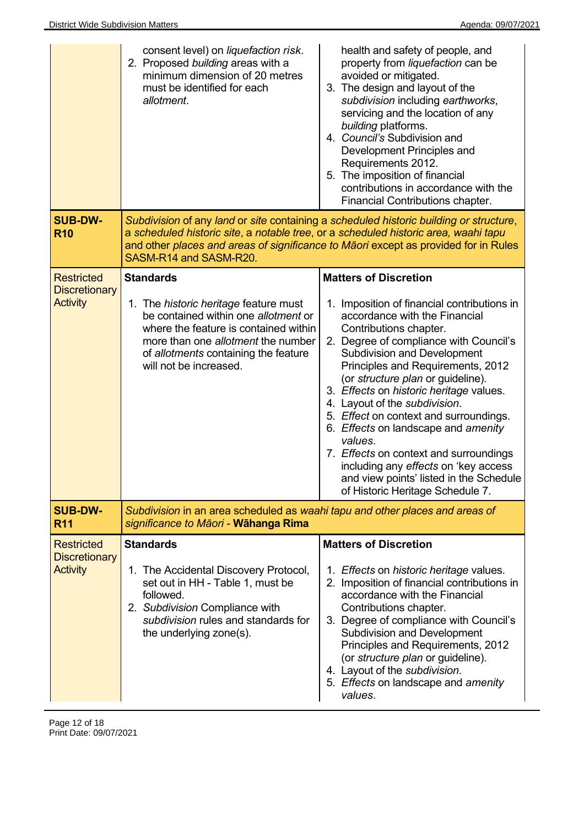|                                           | consent level) on <i>liquefaction risk</i> .<br>2. Proposed building areas with a<br>minimum dimension of 20 metres<br>must be identified for each<br>allotment.                                                                             | health and safety of people, and<br>property from liquefaction can be<br>avoided or mitigated.<br>3. The design and layout of the<br>subdivision including earthworks,<br>servicing and the location of any<br>building platforms.<br>4. Council's Subdivision and<br>Development Principles and<br>Requirements 2012.<br>5. The imposition of financial<br>contributions in accordance with the<br>Financial Contributions chapter.                                                                                                                                                                         |
|-------------------------------------------|----------------------------------------------------------------------------------------------------------------------------------------------------------------------------------------------------------------------------------------------|--------------------------------------------------------------------------------------------------------------------------------------------------------------------------------------------------------------------------------------------------------------------------------------------------------------------------------------------------------------------------------------------------------------------------------------------------------------------------------------------------------------------------------------------------------------------------------------------------------------|
| <b>SUB-DW-</b><br><b>R10</b>              | a scheduled historic site, a notable tree, or a scheduled historic area, waahi tapu<br>SASM-R14 and SASM-R20.                                                                                                                                | Subdivision of any land or site containing a scheduled historic building or structure,<br>and other places and areas of significance to Maori except as provided for in Rules                                                                                                                                                                                                                                                                                                                                                                                                                                |
| <b>Restricted</b><br><b>Discretionary</b> | <b>Standards</b>                                                                                                                                                                                                                             | <b>Matters of Discretion</b>                                                                                                                                                                                                                                                                                                                                                                                                                                                                                                                                                                                 |
| <b>Activity</b>                           | 1. The <i>historic heritage</i> feature must<br>be contained within one allotment or<br>where the feature is contained within<br>more than one <i>allotment</i> the number<br>of allotments containing the feature<br>will not be increased. | Imposition of financial contributions in<br>1.<br>accordance with the Financial<br>Contributions chapter.<br>2. Degree of compliance with Council's<br><b>Subdivision and Development</b><br>Principles and Requirements, 2012<br>(or structure plan or guideline).<br>3. Effects on historic heritage values.<br>4. Layout of the subdivision.<br>5. Effect on context and surroundings.<br>6. Effects on landscape and amenity<br>values.<br>7. Effects on context and surroundings<br>including any effects on 'key access<br>and view points' listed in the Schedule<br>of Historic Heritage Schedule 7. |
| <b>SUB-DW-</b><br><b>R11</b>              | Subdivision in an area scheduled as waahi tapu and other places and areas of<br>significance to Māori - Wāhanga Rima                                                                                                                         |                                                                                                                                                                                                                                                                                                                                                                                                                                                                                                                                                                                                              |
| <b>Restricted</b><br><b>Discretionary</b> | <b>Standards</b>                                                                                                                                                                                                                             | <b>Matters of Discretion</b>                                                                                                                                                                                                                                                                                                                                                                                                                                                                                                                                                                                 |
| <b>Activity</b>                           | 1. The Accidental Discovery Protocol,<br>set out in HH - Table 1, must be<br>followed.<br>2. Subdivision Compliance with<br>subdivision rules and standards for<br>the underlying zone(s).                                                   | 1. Effects on historic heritage values.<br>2. Imposition of financial contributions in<br>accordance with the Financial<br>Contributions chapter.<br>3. Degree of compliance with Council's<br><b>Subdivision and Development</b><br>Principles and Requirements, 2012<br>(or structure plan or guideline).<br>4. Layout of the subdivision.<br>5. Effects on landscape and amenity<br>values.                                                                                                                                                                                                               |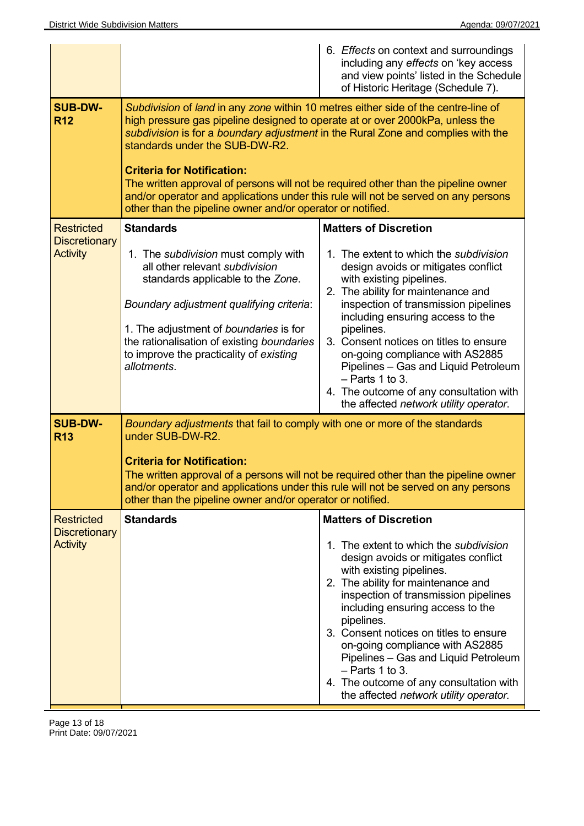|                                                              |                                                                                                                                                                                                                                                                                                                                                                                                                                                                                                                                                                          | 6. Effects on context and surroundings<br>including any effects on 'key access<br>and view points' listed in the Schedule<br>of Historic Heritage (Schedule 7).                                                                                                                                                                                                                                                                                                                                                 |
|--------------------------------------------------------------|--------------------------------------------------------------------------------------------------------------------------------------------------------------------------------------------------------------------------------------------------------------------------------------------------------------------------------------------------------------------------------------------------------------------------------------------------------------------------------------------------------------------------------------------------------------------------|-----------------------------------------------------------------------------------------------------------------------------------------------------------------------------------------------------------------------------------------------------------------------------------------------------------------------------------------------------------------------------------------------------------------------------------------------------------------------------------------------------------------|
| <b>SUB-DW-</b><br><b>R12</b>                                 | Subdivision of land in any zone within 10 metres either side of the centre-line of<br>high pressure gas pipeline designed to operate at or over 2000kPa, unless the<br>subdivision is for a boundary adjustment in the Rural Zone and complies with the<br>standards under the SUB-DW-R2.<br><b>Criteria for Notification:</b><br>The written approval of persons will not be required other than the pipeline owner<br>and/or operator and applications under this rule will not be served on any persons<br>other than the pipeline owner and/or operator or notified. |                                                                                                                                                                                                                                                                                                                                                                                                                                                                                                                 |
| <b>Restricted</b><br><b>Discretionary</b><br><b>Activity</b> | <b>Standards</b><br>1. The subdivision must comply with<br>all other relevant subdivision<br>standards applicable to the Zone.<br>Boundary adjustment qualifying criteria:<br>1. The adjustment of boundaries is for<br>the rationalisation of existing boundaries<br>to improve the practicality of existing<br>allotments.                                                                                                                                                                                                                                             | <b>Matters of Discretion</b><br>1. The extent to which the subdivision<br>design avoids or mitigates conflict<br>with existing pipelines.<br>2. The ability for maintenance and<br>inspection of transmission pipelines<br>including ensuring access to the<br>pipelines.<br>3. Consent notices on titles to ensure<br>on-going compliance with AS2885<br>Pipelines - Gas and Liquid Petroleum<br>$-$ Parts 1 to 3.<br>4. The outcome of any consultation with<br>the affected network utility operator.        |
| <b>SUB-DW-</b><br><b>R13</b>                                 | Boundary adjustments that fail to comply with one or more of the standards<br>under SUB-DW-R2.<br><b>Criteria for Notification:</b><br>and/or operator and applications under this rule will not be served on any persons<br>other than the pipeline owner and/or operator or notified.                                                                                                                                                                                                                                                                                  | The written approval of a persons will not be required other than the pipeline owner                                                                                                                                                                                                                                                                                                                                                                                                                            |
| <b>Restricted</b><br><b>Discretionary</b><br><b>Activity</b> | <b>Standards</b>                                                                                                                                                                                                                                                                                                                                                                                                                                                                                                                                                         | <b>Matters of Discretion</b><br>1. The extent to which the <i>subdivision</i><br>design avoids or mitigates conflict<br>with existing pipelines.<br>2. The ability for maintenance and<br>inspection of transmission pipelines<br>including ensuring access to the<br>pipelines.<br>3. Consent notices on titles to ensure<br>on-going compliance with AS2885<br>Pipelines - Gas and Liquid Petroleum<br>$-$ Parts 1 to 3.<br>4. The outcome of any consultation with<br>the affected network utility operator. |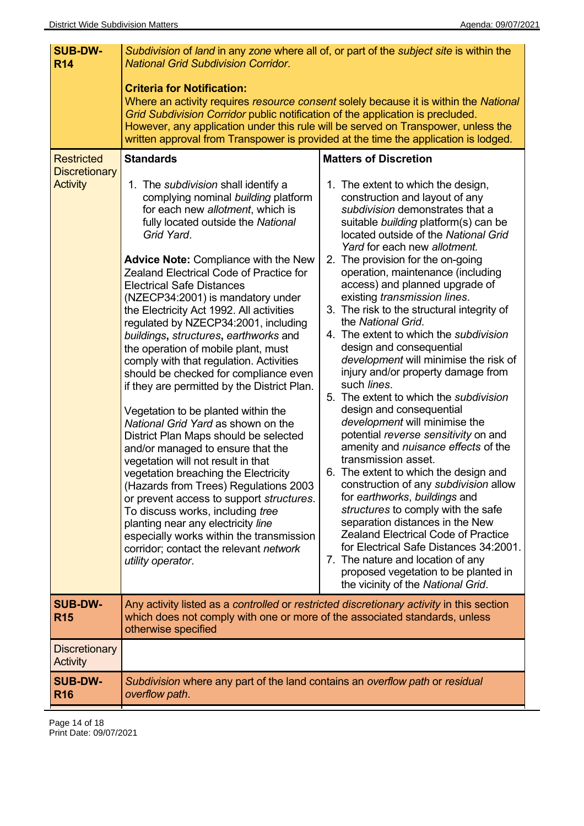| <b>SUB-DW-</b><br><b>R14</b>                                 | Subdivision of land in any zone where all of, or part of the subject site is within the<br><b>National Grid Subdivision Corridor.</b><br><b>Criteria for Notification:</b><br>Grid Subdivision Corridor public notification of the application is precluded.<br>However, any application under this rule will be served on Transpower, unless the                                                                                                                                                                                                                                                                                                                                                                                                                                                                                                                                                                                                                                                                                                                                                                                                                                          | Where an activity requires resource consent solely because it is within the National                                                                                                                                                                                                                                                                                                                                                                                                                                                                                                                                                                                                                                                                                                                                                                                                                                                                                                                                                                                                                                                                                                                                                                            |
|--------------------------------------------------------------|--------------------------------------------------------------------------------------------------------------------------------------------------------------------------------------------------------------------------------------------------------------------------------------------------------------------------------------------------------------------------------------------------------------------------------------------------------------------------------------------------------------------------------------------------------------------------------------------------------------------------------------------------------------------------------------------------------------------------------------------------------------------------------------------------------------------------------------------------------------------------------------------------------------------------------------------------------------------------------------------------------------------------------------------------------------------------------------------------------------------------------------------------------------------------------------------|-----------------------------------------------------------------------------------------------------------------------------------------------------------------------------------------------------------------------------------------------------------------------------------------------------------------------------------------------------------------------------------------------------------------------------------------------------------------------------------------------------------------------------------------------------------------------------------------------------------------------------------------------------------------------------------------------------------------------------------------------------------------------------------------------------------------------------------------------------------------------------------------------------------------------------------------------------------------------------------------------------------------------------------------------------------------------------------------------------------------------------------------------------------------------------------------------------------------------------------------------------------------|
|                                                              | written approval from Transpower is provided at the time the application is lodged.                                                                                                                                                                                                                                                                                                                                                                                                                                                                                                                                                                                                                                                                                                                                                                                                                                                                                                                                                                                                                                                                                                        |                                                                                                                                                                                                                                                                                                                                                                                                                                                                                                                                                                                                                                                                                                                                                                                                                                                                                                                                                                                                                                                                                                                                                                                                                                                                 |
| <b>Restricted</b><br><b>Discretionary</b><br><b>Activity</b> | <b>Standards</b><br>1. The subdivision shall identify a<br>complying nominal building platform<br>for each new allotment, which is<br>fully located outside the National<br>Grid Yard.<br><b>Advice Note: Compliance with the New</b><br><b>Zealand Electrical Code of Practice for</b><br><b>Electrical Safe Distances</b><br>(NZECP34:2001) is mandatory under<br>the Electricity Act 1992. All activities<br>regulated by NZECP34:2001, including<br>buildings, structures, earthworks and<br>the operation of mobile plant, must<br>comply with that regulation. Activities<br>should be checked for compliance even<br>if they are permitted by the District Plan.<br>Vegetation to be planted within the<br>National Grid Yard as shown on the<br>District Plan Maps should be selected<br>and/or managed to ensure that the<br>vegetation will not result in that<br>vegetation breaching the Electricity<br>(Hazards from Trees) Regulations 2003<br>or prevent access to support structures.<br>To discuss works, including tree<br>planting near any electricity line<br>especially works within the transmission<br>corridor; contact the relevant network<br>utility operator. | <b>Matters of Discretion</b><br>1. The extent to which the design,<br>construction and layout of any<br>subdivision demonstrates that a<br>suitable building platform(s) can be<br>located outside of the National Grid<br>Yard for each new allotment.<br>2. The provision for the on-going<br>operation, maintenance (including<br>access) and planned upgrade of<br>existing transmission lines.<br>3. The risk to the structural integrity of<br>the National Grid.<br>4. The extent to which the subdivision<br>design and consequential<br>development will minimise the risk of<br>injury and/or property damage from<br>such lines.<br>5. The extent to which the subdivision<br>design and consequential<br>development will minimise the<br>potential reverse sensitivity on and<br>amenity and nuisance effects of the<br>transmission asset.<br>6. The extent to which the design and<br>construction of any subdivision allow<br>for earthworks, buildings and<br>structures to comply with the safe<br>separation distances in the New<br><b>Zealand Electrical Code of Practice</b><br>for Electrical Safe Distances 34:2001.<br>7. The nature and location of any<br>proposed vegetation to be planted in<br>the vicinity of the National Grid. |
| <b>SUB-DW-</b><br><b>R15</b>                                 | Any activity listed as a controlled or restricted discretionary activity in this section<br>which does not comply with one or more of the associated standards, unless<br>otherwise specified                                                                                                                                                                                                                                                                                                                                                                                                                                                                                                                                                                                                                                                                                                                                                                                                                                                                                                                                                                                              |                                                                                                                                                                                                                                                                                                                                                                                                                                                                                                                                                                                                                                                                                                                                                                                                                                                                                                                                                                                                                                                                                                                                                                                                                                                                 |
| <b>Discretionary</b><br><b>Activity</b>                      |                                                                                                                                                                                                                                                                                                                                                                                                                                                                                                                                                                                                                                                                                                                                                                                                                                                                                                                                                                                                                                                                                                                                                                                            |                                                                                                                                                                                                                                                                                                                                                                                                                                                                                                                                                                                                                                                                                                                                                                                                                                                                                                                                                                                                                                                                                                                                                                                                                                                                 |
| <b>SUB-DW-</b><br><b>R16</b>                                 | Subdivision where any part of the land contains an overflow path or residual<br>overflow path.                                                                                                                                                                                                                                                                                                                                                                                                                                                                                                                                                                                                                                                                                                                                                                                                                                                                                                                                                                                                                                                                                             |                                                                                                                                                                                                                                                                                                                                                                                                                                                                                                                                                                                                                                                                                                                                                                                                                                                                                                                                                                                                                                                                                                                                                                                                                                                                 |

Page 14 of 18 Print Date: 09/07/2021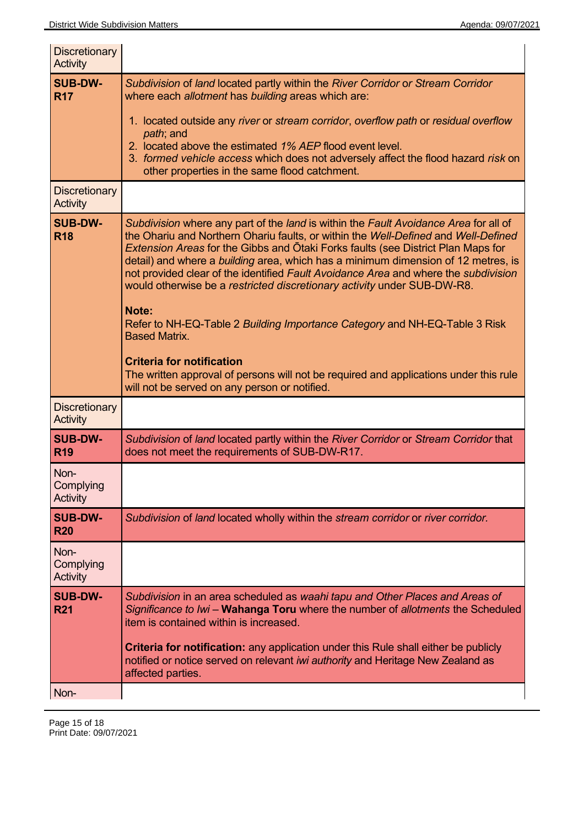| <b>Discretionary</b><br><b>Activity</b> |                                                                                                                                                                                                                                                                                                                                                                                                                                                                                                                                                                                                                                                                                                                                                                                                                           |
|-----------------------------------------|---------------------------------------------------------------------------------------------------------------------------------------------------------------------------------------------------------------------------------------------------------------------------------------------------------------------------------------------------------------------------------------------------------------------------------------------------------------------------------------------------------------------------------------------------------------------------------------------------------------------------------------------------------------------------------------------------------------------------------------------------------------------------------------------------------------------------|
| <b>SUB-DW-</b><br><b>R17</b>            | Subdivision of land located partly within the River Corridor or Stream Corridor<br>where each allotment has building areas which are:<br>1. located outside any river or stream corridor, overflow path or residual overflow<br>path; and<br>2. located above the estimated 1% AEP flood event level.<br>3. formed vehicle access which does not adversely affect the flood hazard risk on<br>other properties in the same flood catchment.                                                                                                                                                                                                                                                                                                                                                                               |
| <b>Discretionary</b><br><b>Activity</b> |                                                                                                                                                                                                                                                                                                                                                                                                                                                                                                                                                                                                                                                                                                                                                                                                                           |
| <b>SUB-DW-</b><br><b>R18</b>            | Subdivision where any part of the land is within the Fault Avoidance Area for all of<br>the Ohariu and Northern Ohariu faults, or within the Well-Defined and Well-Defined<br><b>Extension Areas for the Gibbs and Otaki Forks faults (see District Plan Maps for</b><br>detail) and where a building area, which has a minimum dimension of 12 metres, is<br>not provided clear of the identified Fault Avoidance Area and where the subdivision<br>would otherwise be a restricted discretionary activity under SUB-DW-R8.<br>Note:<br>Refer to NH-EQ-Table 2 Building Importance Category and NH-EQ-Table 3 Risk<br><b>Based Matrix.</b><br><b>Criteria for notification</b><br>The written approval of persons will not be required and applications under this rule<br>will not be served on any person or notified. |
| <b>Discretionary</b><br><b>Activity</b> |                                                                                                                                                                                                                                                                                                                                                                                                                                                                                                                                                                                                                                                                                                                                                                                                                           |
| <b>SUB-DW-</b><br><b>R19</b>            | Subdivision of land located partly within the River Corridor or Stream Corridor that<br>does not meet the requirements of SUB-DW-R17.                                                                                                                                                                                                                                                                                                                                                                                                                                                                                                                                                                                                                                                                                     |
| Non-<br>Complying<br>Activity           |                                                                                                                                                                                                                                                                                                                                                                                                                                                                                                                                                                                                                                                                                                                                                                                                                           |
| <b>SUB-DW-</b><br><b>R20</b>            | Subdivision of land located wholly within the stream corridor or river corridor.                                                                                                                                                                                                                                                                                                                                                                                                                                                                                                                                                                                                                                                                                                                                          |
| Non-<br>Complying<br>Activity           |                                                                                                                                                                                                                                                                                                                                                                                                                                                                                                                                                                                                                                                                                                                                                                                                                           |
| <b>SUB-DW-</b><br><b>R21</b><br>Non-    | Subdivision in an area scheduled as waahi tapu and Other Places and Areas of<br>Significance to Iwi - Wahanga Toru where the number of allotments the Scheduled<br>item is contained within is increased.<br><b>Criteria for notification:</b> any application under this Rule shall either be publicly<br>notified or notice served on relevant iwi authority and Heritage New Zealand as<br>affected parties.                                                                                                                                                                                                                                                                                                                                                                                                           |
|                                         |                                                                                                                                                                                                                                                                                                                                                                                                                                                                                                                                                                                                                                                                                                                                                                                                                           |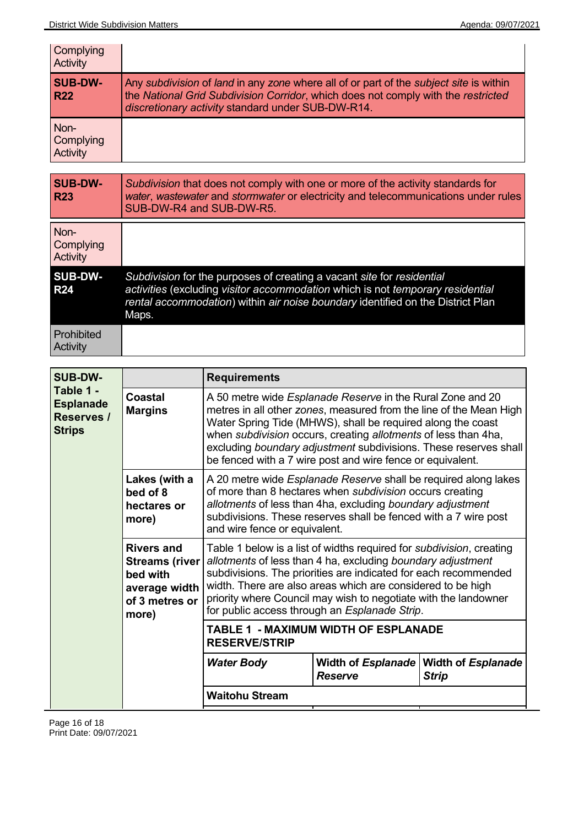| Complying<br>Activity         |                                                                                                                                                                                                                                  |
|-------------------------------|----------------------------------------------------------------------------------------------------------------------------------------------------------------------------------------------------------------------------------|
| <b>SUB-DW-</b><br><b>R22</b>  | Any subdivision of land in any zone where all of or part of the subject site is within<br>the National Grid Subdivision Corridor, which does not comply with the restricted<br>discretionary activity standard under SUB-DW-R14. |
| Non-<br>Complying<br>Activity |                                                                                                                                                                                                                                  |
|                               |                                                                                                                                                                                                                                  |
| <b>SUB-DW-</b>                | Subdivision that does not comply with one or more of the activity standards for                                                                                                                                                  |

| <b>R23</b>                           | water, wastewater and stormwater or electricity and telecommunications under rules<br>SUB-DW-R4 and SUB-DW-R5.                                                                                                                                       |
|--------------------------------------|------------------------------------------------------------------------------------------------------------------------------------------------------------------------------------------------------------------------------------------------------|
| Non-<br><b>Complying</b><br>Activity |                                                                                                                                                                                                                                                      |
| <b>SUB-DW-</b><br><b>R24</b>         | Subdivision for the purposes of creating a vacant site for residential<br>activities (excluding visitor accommodation which is not temporary residential<br>rental accommodation) within air noise boundary identified on the District Plan<br>Maps. |
| Prohibited<br>Activity               |                                                                                                                                                                                                                                                      |

| <b>SUB-DW-</b>                                               |                                                                                                    | <b>Requirements</b>                                                                                                                                                                                                                                                                                                                                                                                        |                |                                                         |  |
|--------------------------------------------------------------|----------------------------------------------------------------------------------------------------|------------------------------------------------------------------------------------------------------------------------------------------------------------------------------------------------------------------------------------------------------------------------------------------------------------------------------------------------------------------------------------------------------------|----------------|---------------------------------------------------------|--|
| Table 1 -<br><b>Esplanade</b><br>Reserves /<br><b>Strips</b> | Coastal<br><b>Margins</b>                                                                          | A 50 metre wide <i>Esplanade Reserve</i> in the Rural Zone and 20<br>metres in all other zones, measured from the line of the Mean High<br>Water Spring Tide (MHWS), shall be required along the coast<br>when subdivision occurs, creating allotments of less than 4ha,<br>excluding boundary adjustment subdivisions. These reserves shall<br>be fenced with a 7 wire post and wire fence or equivalent. |                |                                                         |  |
|                                                              | Lakes (with a<br>bed of 8<br>hectares or<br>more)                                                  | A 20 metre wide <i>Esplanade Reserve</i> shall be required along lakes<br>of more than 8 hectares when subdivision occurs creating<br>allotments of less than 4ha, excluding boundary adjustment<br>subdivisions. These reserves shall be fenced with a 7 wire post<br>and wire fence or equivalent.                                                                                                       |                |                                                         |  |
|                                                              | <b>Rivers and</b><br><b>Streams (river</b><br>bed with<br>average width<br>of 3 metres or<br>more) | Table 1 below is a list of widths required for <i>subdivision</i> , creating<br>allotments of less than 4 ha, excluding boundary adjustment<br>subdivisions. The priorities are indicated for each recommended<br>width. There are also areas which are considered to be high<br>priority where Council may wish to negotiate with the landowner<br>for public access through an <i>Esplanade Strip</i> .  |                |                                                         |  |
|                                                              |                                                                                                    | <b>TABLE 1 - MAXIMUM WIDTH OF ESPLANADE</b><br><b>RESERVE/STRIP</b>                                                                                                                                                                                                                                                                                                                                        |                |                                                         |  |
|                                                              |                                                                                                    | <b>Water Body</b>                                                                                                                                                                                                                                                                                                                                                                                          | <b>Reserve</b> | Width of Esplanade   Width of Esplanade<br><b>Strip</b> |  |
|                                                              |                                                                                                    | <b>Waitohu Stream</b>                                                                                                                                                                                                                                                                                                                                                                                      |                |                                                         |  |

 $\overline{a}$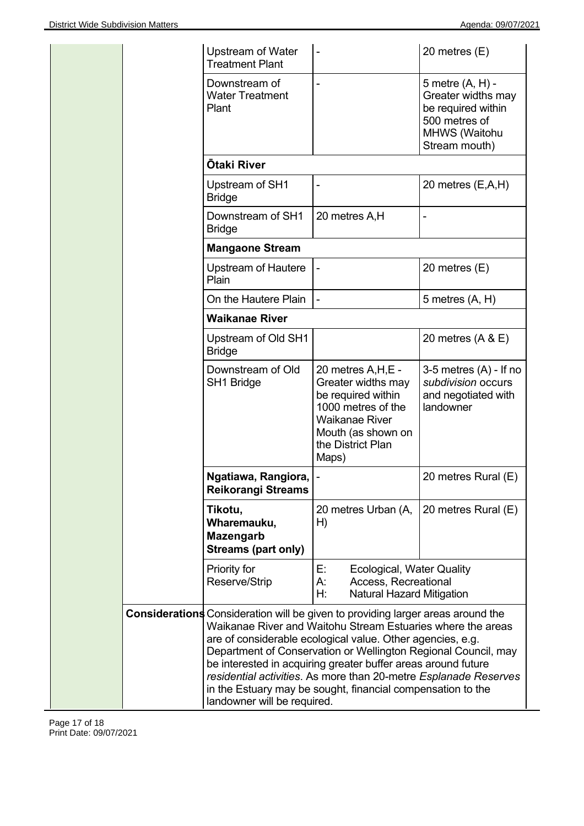|  |  | Upstream of Water<br><b>Treatment Plant</b>                                                                           |                                                                                                                                                                                                                                                                                                                                                                                                 | 20 metres (E)                                                                                                   |
|--|--|-----------------------------------------------------------------------------------------------------------------------|-------------------------------------------------------------------------------------------------------------------------------------------------------------------------------------------------------------------------------------------------------------------------------------------------------------------------------------------------------------------------------------------------|-----------------------------------------------------------------------------------------------------------------|
|  |  | Downstream of<br><b>Water Treatment</b><br>Plant                                                                      |                                                                                                                                                                                                                                                                                                                                                                                                 | 5 metre (A, H) -<br>Greater widths may<br>be required within<br>500 metres of<br>MHWS (Waitohu<br>Stream mouth) |
|  |  | <b>Ōtaki River</b>                                                                                                    |                                                                                                                                                                                                                                                                                                                                                                                                 |                                                                                                                 |
|  |  | Upstream of SH1<br><b>Bridge</b>                                                                                      | $\qquad \qquad \blacksquare$                                                                                                                                                                                                                                                                                                                                                                    | 20 metres (E,A,H)                                                                                               |
|  |  | Downstream of SH1<br><b>Bridge</b>                                                                                    | 20 metres A,H                                                                                                                                                                                                                                                                                                                                                                                   |                                                                                                                 |
|  |  | <b>Mangaone Stream</b>                                                                                                |                                                                                                                                                                                                                                                                                                                                                                                                 |                                                                                                                 |
|  |  | Upstream of Hautere<br>Plain                                                                                          | $\blacksquare$                                                                                                                                                                                                                                                                                                                                                                                  | 20 metres (E)                                                                                                   |
|  |  | On the Hautere Plain                                                                                                  |                                                                                                                                                                                                                                                                                                                                                                                                 | 5 metres (A, H)                                                                                                 |
|  |  | <b>Waikanae River</b>                                                                                                 |                                                                                                                                                                                                                                                                                                                                                                                                 |                                                                                                                 |
|  |  | Upstream of Old SH1<br><b>Bridge</b>                                                                                  |                                                                                                                                                                                                                                                                                                                                                                                                 | 20 metres $(A & E)$                                                                                             |
|  |  | Downstream of Old<br>SH1 Bridge                                                                                       | 20 metres A, H, E -<br>Greater widths may<br>be required within<br>1000 metres of the<br><b>Waikanae River</b><br>Mouth (as shown on<br>the District Plan<br>Maps)                                                                                                                                                                                                                              | 3-5 metres $(A)$ - If no<br>subdivision occurs<br>and negotiated with<br>landowner                              |
|  |  | Ngatiawa, Rangiora,<br><b>Reikorangi Streams</b>                                                                      |                                                                                                                                                                                                                                                                                                                                                                                                 | 20 metres Rural (E)                                                                                             |
|  |  | Tikotu,<br>Wharemauku,<br><b>Mazengarb</b><br><b>Streams (part only)</b>                                              | 20 metres Urban (A,<br>H)                                                                                                                                                                                                                                                                                                                                                                       | 20 metres Rural (E)                                                                                             |
|  |  | Priority for<br>Reserve/Strip                                                                                         | Е.<br><b>Ecological, Water Quality</b><br>Access, Recreational<br>А:<br>H:<br><b>Natural Hazard Mitigation</b>                                                                                                                                                                                                                                                                                  |                                                                                                                 |
|  |  | <b>Considerations</b> Consideration will be given to providing larger areas around the<br>landowner will be required. | Waikanae River and Waitohu Stream Estuaries where the areas<br>are of considerable ecological value. Other agencies, e.g.<br>Department of Conservation or Wellington Regional Council, may<br>be interested in acquiring greater buffer areas around future<br>residential activities. As more than 20-metre Esplanade Reserves<br>in the Estuary may be sought, financial compensation to the |                                                                                                                 |